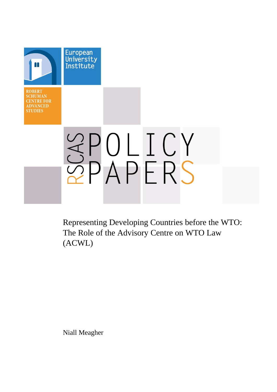

**STUDIES** 

SPOLICY<br>SPAPERS

Representing Developing Countries before the WTO: The Role of the Advisory Centre on WTO Law (ACWL)

Niall Meagher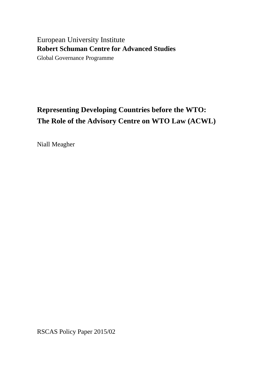# European University Institute **Robert Schuman Centre for Advanced Studies**

Global Governance Programme

# **Representing Developing Countries before the WTO: The Role of the Advisory Centre on WTO Law (ACWL)**

Niall Meagher

RSCAS Policy Paper 2015/02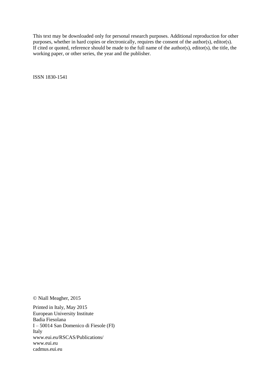This text may be downloaded only for personal research purposes. Additional reproduction for other purposes, whether in hard copies or electronically, requires the consent of the author(s), editor(s). If cited or quoted, reference should be made to the full name of the author(s), editor(s), the title, the working paper, or other series, the year and the publisher.

ISSN 1830-1541

© Niall Meagher, 2015

Printed in Italy, May 2015 European University Institute Badia Fiesolana I – 50014 San Domenico di Fiesole (FI) Italy [www.eui.eu/RSCAS/Publications/](http://www.eui.eu/RSCAS/Publications/) [www.eui.eu](http://www.eui.eu/) [cadmus.eui.eu](http://cadmus.eui.eu/dspace/index.jsp)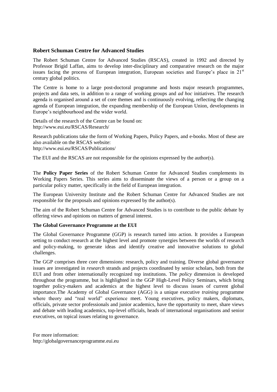## **Robert Schuman Centre for Advanced Studies**

The Robert Schuman Centre for Advanced Studies (RSCAS), created in 1992 and directed by Professor Brigid Laffan, aims to develop inter-disciplinary and comparative research on the major issues facing the process of European integration, European societies and Europe's place in  $21<sup>st</sup>$ century global politics.

The Centre is home to a large post-doctoral programme and hosts major research programmes, projects and data sets, in addition to a range of working groups and *ad hoc* initiatives. The research agenda is organised around a set of core themes and is continuously evolving, reflecting the changing agenda of European integration, the expanding membership of the European Union, developments in Europe's neighbourhood and the wider world.

Details of the research of the Centre can be found on: <http://www.eui.eu/RSCAS/Research/>

Research publications take the form of Working Papers, Policy Papers, and e-books. Most of these are also available on the RSCAS website: <http://www.eui.eu/RSCAS/Publications/>

The EUI and the RSCAS are not responsible for the opinions expressed by the author(s).

The **Policy Paper Series** of the Robert Schuman Centre for Advanced Studies complements its Working Papers Series. This series aims to disseminate the views of a person or a group on a particular policy matter, specifically in the field of European integration.

The European University Institute and the Robert Schuman Centre for Advanced Studies are not responsible for the proposals and opinions expressed by the author(s).

The aim of the Robert Schuman Centre for Advanced Studies is to contribute to the public debate by offering views and opinions on matters of general interest.

## **The Global Governance Programme at the EUI**

The Global Governance Programme (GGP) is research turned into action. It provides a European setting to conduct research at the highest level and promote synergies between the worlds of research and policy-making, to generate ideas and identify creative and innovative solutions to global challenges.

The GGP comprises three core dimensions: research, policy and training. Diverse global governance issues are investigated in *research* strands and projects coordinated by senior scholars, both from the EUI and from other internationally recognized top institutions. The *policy* dimension is developed throughout the programme, but is highlighted in the GGP High-Level Policy Seminars, which bring together policy-makers and academics at the highest level to discuss issues of current global importance.The Academy of Global Governance (AGG) is a unique executive *training* programme where theory and "real world" experience meet. Young executives, policy makers, diplomats, officials, private sector professionals and junior academics, have the opportunity to meet, share views and debate with leading academics, top-level officials, heads of international organisations and senior executives, on topical issues relating to governance.

For more information: [http://globalgovernanceprogramme.eui.eu](http://globalgovernanceprogramme.eui.eu/)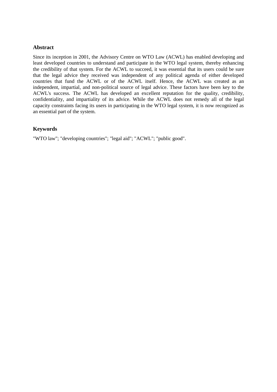## **Abstract**

Since its inception in 2001, the Advisory Centre on WTO Law (ACWL) has enabled developing and least developed countries to understand and participate in the WTO legal system, thereby enhancing the credibility of that system. For the ACWL to succeed, it was essential that its users could be sure that the legal advice they received was independent of any political agenda of either developed countries that fund the ACWL or of the ACWL itself. Hence, the ACWL was created as an independent, impartial, and non-political source of legal advice. These factors have been key to the ACWL's success. The ACWL has developed an excellent reputation for the quality, credibility, confidentiality, and impartiality of its advice. While the ACWL does not remedy all of the legal capacity constraints facing its users in participating in the WTO legal system, it is now recognized as an essential part of the system.

# **Keywords**

"WTO law"; "developing countries"; "legal aid"; "ACWL"; "public good".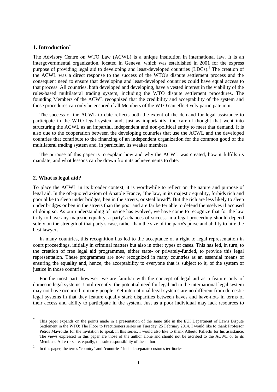## **1. Introduction\***

The Advisory Centre on WTO Law (ACWL) is a unique institution in international law. It is an intergovernmental organization, located in Geneva, which was established in 2001 for the express purpose of providing legal aid to developing and least-developed countries (LDCs).<sup>1</sup> The creation of the ACWL was a direct response to the success of the WTO's dispute settlement process and the consequent need to ensure that developing and least-developed countries could have equal access to that process. All countries, both developed and developing, have a vested interest in the viability of the rules-based multilateral trading system, including the WTO dispute settlement procedures. The founding Members of the ACWL recognized that the credibility and acceptability of the system and those procedures can only be ensured if all Members of the WTO can effectively participate in it.

The success of the ACWL to date reflects both the extent of the demand for legal assistance to participate in the WTO legal system and, just as importantly, the careful thought that went into structuring the ACWL as an impartial, independent and non-political entity to meet that demand. It is also due to the cooperation between the developing countries that use the ACWL and the developed countries that contribute to the financing of an independent organization for the common good of the multilateral trading system and, in particular, its weaker members.

The purpose of this paper is to explain how and why the ACWL was created, how it fulfills its mandate, and what lessons can be drawn from its achievements to date.

## **2. What is legal aid?**

 $\overline{\phantom{a}}$ 

To place the ACWL in its broader context, it is worthwhile to reflect on the nature and purpose of legal aid. In the oft-quoted axiom of Anatole France, "the law, in its majestic equality, forbids rich and poor alike to sleep under bridges, beg in the streets, or steal bread". But the rich are less likely to sleep under bridges or beg in the streets than the poor and are far better able to defend themselves if accused of doing so. As our understanding of justice has evolved, we have come to recognize that for the law truly to have any majestic equality, a party's chances of success in a legal proceeding should depend solely on the strength of that party's case, rather than the size of the party's purse and ability to hire the best lawyers.

In many countries, this recognition has led to the acceptance of a right to legal representation in court proceedings, initially in criminal matters but also in other types of cases. This has led, in turn, to the creation of free legal aid programmes, either state- or privately-funded, to provide this legal representation. These programmes are now recognized in many countries as an essential means of ensuring the equality and, hence, the acceptability to everyone that is subject to it, of the system of justice in those countries.

For the most part, however, we are familiar with the concept of legal aid as a feature only of domestic legal systems. Until recently, the potential need for legal aid in the international legal system may not have occurred to many people. Yet international legal systems are no different from domestic legal systems in that they feature equally stark disparities between haves and have-nots in terms of their access and ability to participate in the system. Just as a poor individual may lack resources to

<sup>\*</sup> This paper expands on the points made in a presentation of the same title in the EUI Department of Law's Dispute Settlement in the WTO: The Floor to Practitioners series on Tuesday, 25 February 2014. I would like to thank Professor Petros Mavroidis for the invitation to speak in this series. I would also like to thank Alberto Pallechi for his assistance. The views expressed in this paper are those of the author alone and should not be ascribed to the ACWL or to its Members. All errors are, equally, the sole responsibility of the author.

<sup>1</sup> In this paper, the terms "country" and "countries" include separate customs territories.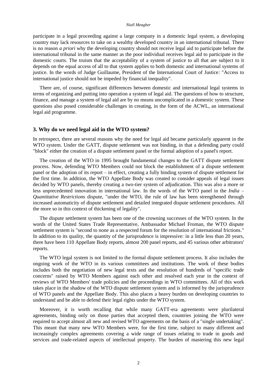participate in a legal proceeding against a large company in a domestic legal system, a developing country may lack resources to take on a wealthy developed country in an international tribunal. There is no reason *a priori* why the developing country should not receive legal aid to participate before the international tribunal in the same manner as the poor individual receives legal aid to participate in the domestic courts. The truism that the acceptability of a system of justice to all that are subject to it depends on the equal access of all to that system applies to both domestic and international systems of justice. In the words of Judge Guillaume, President of the International Court of Justice: "Access to international justice should not be impeded by financial inequality".

There are, of course, significant differences between domestic and international legal systems in terms of organizing and putting into operation a system of legal aid. The questions of how to structure, finance, and manage a system of legal aid are by no means uncomplicated in a domestic system. These questions also posed considerable challenges in creating, in the form of the ACWL, an international legal aid programme.

## **3. Why do we need legal aid in the WTO system?**

In retrospect, there are several reasons why the need for legal aid became particularly apparent in the WTO system. Under the GATT, dispute settlement was not binding, in that a defending party could "block" either the creation of a dispute settlement panel or the formal adoption of a panel's report.

The creation of the WTO in 1995 brought fundamental changes to the GATT dispute settlement process. Now, defending WTO Members could not block the establishment of a dispute settlement panel or the adoption of its report – in effect, creating a fully binding system of dispute settlement for the first time. In addition, the WTO Appellate Body was created to consider appeals of legal issues decided by WTO panels, thereby creating a two-tier system of adjudication. This was also a more or less unprecedented innovation in international law. In the words of the WTO panel in the *India – Quantitative Restrictions* dispute, "under the WTO, the rule of law has been strengthened through increased automaticity of dispute settlement and detailed integrated dispute settlement procedures. All the more so in this context of thickening of legality".

The dispute settlement system has been one of the crowning successes of the WTO system. In the words of the United States Trade Representative, Ambassador Michael Froman, the WTO dispute settlement system is "second to none as a respected forum for the resolution of international frictions." In addition to its quality, the quantity of the jurisprudence is impressive: in a little less than 20 years, there have been 110 Appellate Body reports, almost 200 panel reports, and 45 various other arbitrators' reports.

The WTO legal system is not limited to the formal dispute settlement process. It also includes the ongoing work of the WTO in its various committees and institutions. The work of these bodies includes both the negotiation of new legal texts and the resolution of hundreds of "specific trade concerns" raised by WTO Members against each other and resolved each year in the context of reviews of WTO Members' trade policies and the proceedings in WTO committees. All of this work takes place in the shadow of the WTO dispute settlement system and is informed by the jurisprudence of WTO panels and the Appellate Body. This also places a heavy burden on developing countries to understand and be able to defend their legal rights under the WTO system.

Moreover, it is worth recalling that while many GATT-era agreements were plurilateral agreements, binding only on those parties that accepted them, countries joining the WTO were required to accept almost all new and revised WTO agreements on the basis of a "single undertaking". This meant that many new WTO Members were, for the first time, subject to many different and increasingly complex agreements covering a wide range of issues relating to trade in goods and services and trade-related aspects of intellectual property. The burden of mastering this new legal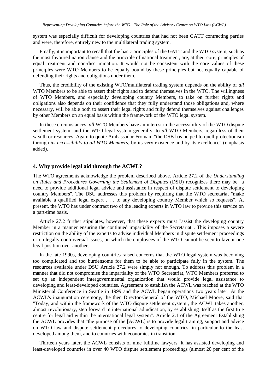system was especially difficult for developing countries that had not been GATT contracting parties and were, therefore, entirely new to the multilateral trading system.

Finally, it is important to recall that the basic principles of the GATT and the WTO system, such as the most favoured nation clause and the principle of national treatment, are, at their core, principles of equal treatment and non-discrimination. It would not be consistent with the core values of these principles were WTO Members to be equally bound by these principles but not equally capable of defending their rights and obligations under them.

Thus, the credibility of the existing WTO/multilateral trading system depends on the ability of *all* WTO Members to be able to assert their rights and to defend themselves in the WTO. The willingness of WTO Members, and especially developing country Members, to take on further rights and obligations also depends on their confidence that they fully understand those obligations and, where necessary, will be able both to assert their legal rights and fully defend themselves against challenges by other Members on an equal basis within the framework of the WTO legal system.

In these circumstances, *all* WTO Members have an interest in the accessibility of the WTO dispute settlement system, and the WTO legal system generally, to *all* WTO Members, regardless of their wealth or resources. Again to quote Ambassador Froman, "the DSB has helped to quell protectionism through *its accessibility to all WTO Members,* by its very existence and by its excellence" (emphasis added).

## **4. Why provide legal aid through the ACWL?**

The WTO agreements acknowledge the problem described above. Article 27.2 of the *Understanding on Rules and Procedures Governing the Settlement of Disputes* (DSU) recognizes there may be "a need to provide additional legal advice and assistance in respect of dispute settlement to developing country Members". The DSU addresses this problem by requiring that the WTO secretariat "make available a qualified legal expert . . . to any developing country Member which so requests". At present, the WTO has under contract two of the leading experts in WTO law to provide this service on a part-time basis.

Article 27.2 further stipulates, however, that these experts must "assist the developing country Member in a manner ensuring the continued impartiality of the Secretariat". This imposes a severe restriction on the ability of the experts to advise individual Members in dispute settlement proceedings or on legally controversial issues, on which the employees of the WTO cannot be seen to favour one legal position over another.

In the late 1990s, developing countries raised concerns that the WTO legal system was becoming too complicated and too burdensome for them to be able to participate fully in the system. The resources available under DSU Article 27.2 were simply not enough. To address this problem in a manner that did not compromise the impartiality of the WTO Secretariat, WTO Members preferred to set up an independent intergovernmental organization that would provide legal assistance to developing and least-developed countries. Agreement to establish the ACWL was reached at the WTO Ministerial Conference in Seattle in 1999 and the ACWL began operations two years later. At the ACWL's inauguration ceremony, the then Director-General of the WTO, Michael Moore, said that "Today, and within the framework of the WTO dispute settlement system , the ACWL takes another, almost revolutionary, step forward in international adjudication, by establishing itself as the first true centre for legal aid within the international legal system". Article 2.1 of the Agreement Establishing the ACWL provides that "the purpose of the [ACWL] is to provide legal training, support and advice on WTO law and dispute settlement procedures to developing countries, in particular to the least developed among them, and to countries with economies in transition".

Thirteen years later, the ACWL consists of nine fulltime lawyers. It has assisted developing and least-developed countries in over 40 WTO dispute settlement proceedings (almost 20 per cent of the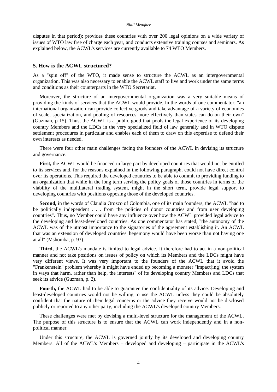disputes in that period); provides these countries with over 200 legal opinions on a wide variety of issues of WTO law free of charge each year, and conducts extensive training courses and seminars. As explained below, the ACWL's services are currently available to 74 WTO Members.

## **5. How is the ACWL structured?**

As a "spin off" of the WTO, it made sense to structure the ACWL as an intergovernmental organization. This was also necessary to enable the ACWL staff to live and work under the same terms and conditions as their counterparts in the WTO Secretariat.

Moreover, the structure of an intergovernmental organization was a very suitable means of providing the kinds of services that the ACWL would provide. In the words of one commentator, "an international organization can provide collective goods and take advantage of a variety of economies of scale, specialization, and pooling of resources more effectively than states can do on their own" (Guzman, p 15). Thus, the ACWL is a public good that pools the legal experience of its developing country Members and the LDCs in the very specialized field of law generally and in WTO dispute settlement procedures in particular and enables each of them to draw on this expertise to defend their own interests as needed.

There were four other main challenges facing the founders of the ACWL in devising its structure and governance.

First, the ACWL would be financed in large part by developed countries that would not be entitled to its services and, for the reasons explained in the following paragraph, could not have direct control over its operations. This required the developed countries to be able to commit to providing funding to an organization that while in the long term serving the policy goals of those countries in terms of the viability of the multilateral trading system, might in the short term, provide legal support to developing countries with positions opposing those of the developed countries.

**Second,** in the words of Claudia Orozco of Colombia, one of its main founders, the ACWL "had to be politically independent . . . from the policies of donor countries and from user developing countries". Thus, no Member could have any influence over how the ACWL provided legal advice to the developing and least-developed countries. As one commentator has stated, "the autonomy of the ACWL was of the utmost importance to the signatories of the agreement establishing it. An ACWL that was an extension of developed countries' hegemony would have been worse than not having one at all" (Mshomba, p. 93).

**Third,** the ACWL's mandate is limited to legal advice. It therefore had to act in a non-political manner and not take positions on issues of policy on which its Members and the LDCs might have very different views. It was very important to the founders of the ACWL that it avoid the "Frankenstein" problem whereby it might have ended up becoming a monster "impact[ing] the system in ways that harm, rather than help, the interests" of its developing country Members and LDCs that seek its advice (Guzman, p. 2).

**Fourth,** the ACWL had to be able to guarantee the confidentiality of its advice. Developing and least-developed countries would not be willing to use the ACWL unless they could be absolutely confident that the nature of their legal concerns or the advice they receive would not be disclosed publicly or reported to any other party, including the ACWL's developed country Members.

These challenges were met by devising a multi-level structure for the management of the ACWL. The purpose of this structure is to ensure that the ACWL can work independently and in a nonpolitical manner.

Under this structure, the ACWL is governed jointly by its developed and developing country Members. All of the ACWL's Members – developed and developing – participate in the ACWL's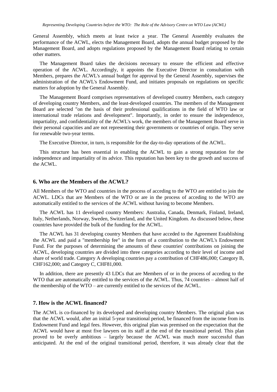General Assembly, which meets at least twice a year. The General Assembly evaluates the performance of the ACWL, elects the Management Board, adopts the annual budget proposed by the Management Board, and adopts regulations proposed by the Management Board relating to certain other matters.

The Management Board takes the decisions necessary to ensure the efficient and effective operation of the ACWL. Accordingly, it appoints the Executive Director in consultation with Members, prepares the ACWL's annual budget for approval by the General Assembly, supervises the administration of the ACWL's Endowment Fund, and initiates proposals on regulations on specific matters for adoption by the General Assembly.

The Management Board comprises representatives of developed country Members, each category of developing country Members, and the least-developed countries. The members of the Management Board are selected "on the basis of their professional qualifications in the field of WTO law or international trade relations and development". Importantly, in order to ensure the independence, impartiality, and confidentiality of the ACWL's work, the members of the Management Board serve in their personal capacities and are not representing their governments or countries of origin. They serve for renewable two-year terms.

The Executive Director, in turn, is responsible for the day-to-day operations of the ACWL.

This structure has been essential in enabling the ACWL to gain a strong reputation for the independence and impartiality of its advice. This reputation has been key to the growth and success of the ACWL.

## **6. Who are the Members of the ACWL?**

All Members of the WTO and countries in the process of acceding to the WTO are entitled to join the ACWL. LDCs that are Members of the WTO or are in the process of acceding to the WTO are automatically entitled to the services of the ACWL without having to become Members.

The ACWL has 11 developed country Members: Australia, Canada, Denmark, Finland, Ireland, Italy, Netherlands, Norway, Sweden, Switzerland, and the United Kingdom. As discussed below, these countries have provided the bulk of the funding for the ACWL.

The ACWL has 31 developing country Members that have acceded to the Agreement Establishing the ACWL and paid a "membership fee" in the form of a contribution to the ACWL's Endowment Fund. For the purposes of determining the amounts of these countries' contributions on joining the ACWL, developing countries are divided into three categories according to their level of income and share of world trade. Category A developing countries pay a contribution of CHF486,000; Category B, CHF162,000; and Category C, CHF81,000.

In addition, there are presently 43 LDCs that are Members of or in the process of acceding to the WTO that are automatically entitled to the services of the ACWL. Thus, 74 countries – almost half of the membership of the WTO – are currently entitled to the services of the ACWL.

## **7. How is the ACWL financed?**

The ACWL is co-financed by its developed and developing country Members. The original plan was that the ACWL would, after an initial 5-year transitional period, be financed from the income from its Endowment Fund and legal fees. However, this original plan was premised on the expectation that the ACWL would have at most five lawyers on its staff at the end of the transitional period. This plan proved to be overly ambitious – largely because the ACWL was much more successful than anticipated. At the end of the original transitional period, therefore, it was already clear that the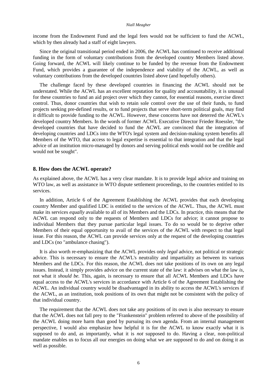#### *Niall Meagher*

income from the Endowment Fund and the legal fees would not be sufficient to fund the ACWL, which by then already had a staff of eight lawyers.

Since the original transitional period ended in 2006, the ACWL has continued to receive additional funding in the form of voluntary contributions from the developed country Members listed above. Going forward, the ACWL will likely continue to be funded by the revenue from the Endowment Fund, which provides a guarantee of the independence and viability of the ACWL, as well as voluntary contributions from the developed countries listed above (and hopefully others).

The challenge faced by these developed countries in financing the ACWL should not be understated. While the ACWL has an excellent reputation for quality and accountability, it is unusual for these countries to fund an aid project over which they cannot, for essential reasons, exercise direct control. Thus, donor countries that wish to retain sole control over the use of their funds, to fund projects seeking pre-defined results, or to fund projects that serve short-term political goals, may find it difficult to provide funding to the ACWL. However, these concerns have not deterred the ACWL's developed country Members. In the words of former ACWL Executive Director Frieder Roessler, "the developed countries that have decided to fund the ACWL are convinced that the integration of developing countries and LDCs into the WTO's legal system and decision-making system benefits all Members of the WTO, that access to legal expertise is essential to that integration and that the legal advice of an institution micro-managed by donors and serving political ends would not be credible and would not be sought".

#### **8. How does the ACWL operate?**

As explained above, the ACWL has a very clear mandate. It is to provide legal advice and training on WTO law, as well as assistance in WTO dispute settlement proceedings, to the countries entitled to its services.

In addition, Article 6 of the Agreement Establishing the ACWL provides that each developing country Member and qualified LDC is entitled to the services of the ACWL. Thus, the ACWL must make its services *equally* available to all of its Members and the LDCs. In practice, this means that the ACWL can respond only to the requests of Members and LDCs for advice; it cannot propose to individual Members that they pursue particular legal issues. To do so would be to deprive other Members of their equal opportunity to avail of the services of the ACWL with respect to that legal issue. For this reason, the ACWL can provide services only at the request of the developing countries and LDCs (no "ambulance chasing").

It is also worth re-emphasizing that the ACWL provides only *legal* advice, not political or strategic advice. This is necessary to ensure the ACWL's neutrality and impartiality as between its various Members and the LDCs. For this reason, the ACWL does not take positions of its own on any legal issues. Instead, it simply provides advice on the current state of the law: it advises on what the law *is*, not what it *should be.* This, again, is necessary to ensure that all ACWL Members and LDCs have equal access to the ACWL's services in accordance with Article 6 of the Agreement Establishing the ACWL. An individual country would be disadvantaged in its ability to access the ACWL's services if the ACWL, as an institution, took positions of its own that might not be consistent with the policy of that individual country.

The requirement that the ACWL does not take any positions of its own is also necessary to ensure that the ACWL does not fall prey to the "Frankenstein" problem referred to above of the possibility of the ACWL doing more harm than good by pursuing its own agenda. From an internal management perspective, I would also emphasize how helpful it is for the ACWL to know exactly what it is supposed to do and, as importantly, what it is *not* supposed to do. Having a clear, non-political mandate enables us to focus all our energies on doing what we are supposed to do and on doing it as well as possible.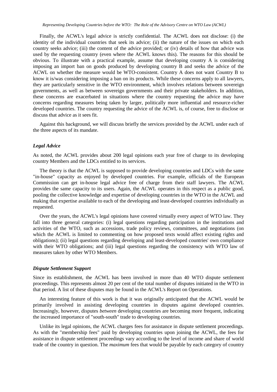Finally, the ACWL's legal advice is strictly confidential. The ACWL does not disclose: (i) the identity of the individual countries that seek its advice; (ii) the nature of the issues on which each country seeks advice; (iii) the content of the advice provided; or (iv) details of how that advice was used by the requesting country (even where the ACWL knows this). The reasons for this should be obvious. To illustrate with a practical example, assume that developing country A is considering imposing an import ban on goods produced by developing country B and seeks the advice of the ACWL on whether the measure would be WTO-consistent. Country A does not want Country B to know it is/was considering imposing a ban on its products. While these concerns apply to all lawyers, they are particularly sensitive in the WTO environment, which involves relations between sovereign governments, as well as between sovereign governments and their private stakeholders. In addition, these concerns are exacerbated in situations where the country requesting the advice may have concerns regarding measures being taken by larger, politically more influential and resource-richer developed countries. The country requesting the advice of the ACWL is, of course, free to disclose or discuss that advice as it sees fit.

Against this background, we will discuss briefly the services provided by the ACWL under each of the three aspects of its mandate.

#### *Legal Advice*

As noted, the ACWL provides about 200 legal opinions each year free of charge to its developing country Members and the LDCs entitled to its services.

The theory is that the ACWL is supposed to provide developing countries and LDCs with the same "in-house" capacity as enjoyed by developed countries. For example, officials of the European Commission can get in-house legal advice free of charge from their staff lawyers. The ACWL provides the same capacity to its users. Again, the ACWL operates in this respect as a public good, pooling the collective knowledge and expertise of developing countries in the WTO in the ACWL and making that expertise available to each of the developing and least-developed countries individually as requested.

Over the years, the ACWL's legal opinions have covered virtually every aspect of WTO law. They fall into three general categories: (i) legal questions regarding participation in the institutions and activities of the WTO, such as accessions, trade policy reviews, committees, and negotiations (on which the ACWL is limited to commenting on how proposed texts would affect existing rights and obligations); (ii) legal questions regarding developing and least-developed countries' own compliance with their WTO obligations; and (iii) legal questions regarding the consistency with WTO law of measures taken by other WTO Members.

### *Dispute Settlement Support*

Since its establishment, the ACWL has been involved in more than 40 WTO dispute settlement proceedings. This represents almost 20 per cent of the total number of disputes initiated in the WTO in that period. A list of these disputes may be found in the ACWL's Report on Operations.

An interesting feature of this work is that it was originally anticipated that the ACWL would be primarily involved in assisting developing countries in disputes against developed countries. Increasingly, however, disputes *between* developing countries are becoming more frequent, indicating the increased importance of "south-south" trade to developing countries.

Unlike its legal opinions, the ACWL charges fees for assistance in dispute settlement proceedings. As with the "membership fees" paid by developing countries upon joining the ACWL, the fees for assistance in dispute settlement proceedings vary according to the level of income and share of world trade of the country in question. The *maximum* fees that would be payable by each category of country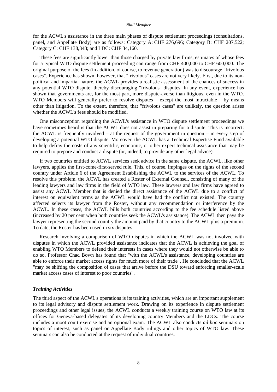for the ACWL's assistance in the three main phases of dispute settlement proceedings (consultations, panel, and Appellate Body) are as follows: Category A: CHF 276,696; Category B: CHF 207,522; Category C: CHF 138,348; and LDC: CHF 34,160.

These fees are significantly lower than those charged by private law firms, estimates of whose fees for a typical WTO dispute settlement proceeding can range from CHF 400,000 to CHF 600,000. The original purpose of the fees (in addition, of course, to revenue generation) was to discourage "frivolous cases". Experience has shown, however, that "frivolous" cases are not very likely. First, due to its nonpolitical and impartial nature, the ACWL provides a realistic assessment of the chances of success in any potential WTO dispute, thereby discouraging "frivolous" disputes. In any event, experience has shown that governments are, for the most part, more dispute-averse than litigious, even in the WTO. WTO Members will generally prefer to resolve disputes – except the most intractable – by means other than litigation. To the extent, therefore, that "frivolous cases" are unlikely, the question arises whether the ACWL's fees should be modified.

One misconception regarding the ACWL's assistance in WTO dispute settlement proceedings we have sometimes heard is that the ACWL does not assist in preparing for a dispute. This is incorrect: the ACWL is frequently involved – at the request of the government in question – in every step of developing a potential WTO dispute. Moreover, the ACWL has a Technical Expertise Fund available to help defray the costs of any scientific, economic, or other expert technical assistance that may be required to prepare and conduct a dispute (or, indeed, to provide any other legal advice).

If two countries entitled to ACWL services seek advice in the same dispute, the ACWL, like other lawyers, applies the first-come-first-served rule. This, of course, impinges on the rights of the second country under Article 6 of the Agreement Establishing the ACWL to the services of the ACWL. To resolve this problem, the ACWL has created a Roster of External Counsel, consisting of many of the leading lawyers and law firms in the field of WTO law. These lawyers and law firms have agreed to assist any ACWL Member that is denied the direct assistance of the ACWL due to a conflict of interest on equivalent terms as the ACWL would have had the conflict not existed. The country affected selects its lawyer from the Roster, without any recommendation or interference by the ACWL. In these cases, the ACWL bills both countries according to the fee schedule listed above (increased by 20 per cent when both countries seek the ACWL's assistance). The ACWL then pays the lawyer representing the second country the amount paid by that country to the ACWL plus a premium. To date, the Roster has been used in six disputes.

Research involving a comparison of WTO disputes in which the ACWL was not involved with disputes in which the ACWL provided assistance indicates that the ACWL is achieving the goal of enabling WTO Members to defend their interests in cases where they would not otherwise be able to do so. Professor Chad Bown has found that "with the ACWL's assistance, developing countries are able to enforce their market access rights for much more of their trade". He concluded that the ACWL "may be shifting the composition of cases that arrive before the DSU toward enforcing smaller-scale market access cases of interest to poor countries".

### *Training Activities*

The third aspect of the ACWL's operations is its training activities, which are an important supplement to its legal advisory and dispute settlement work. Drawing on its experience in dispute settlement proceedings and other legal issues, the ACWL conducts a weekly training course on WTO law at its offices for Geneva-based delegates of its developing country Members and the LDCs. The course includes a moot court exercise and an optional exam. The ACWL also conducts *ad hoc* seminars on topics of interest, such as panel or Appellate Body rulings and other topics of WTO law. These seminars can also be conducted at the request of individual countries.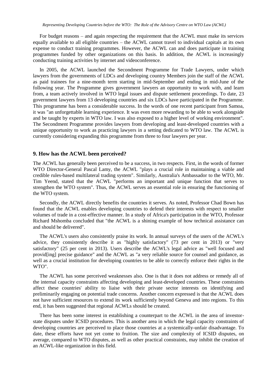For budget reasons – and again respecting the requirement that the ACWL must make its services equally available to all eligible countries – the ACWL cannot travel to individual capitals at its own expense to conduct training programmes. However, the ACWL can and does participate in training programmes funded by other organizations on this basis. In addition, the ACWL is increasingly conducting training activities by internet and videoconference.

In 2005, the ACWL launched the Secondment Programme for Trade Lawyers, under which lawyers from the governments of LDCs and developing country Members join the staff of the ACWL as paid trainees for a nine-month term starting in mid-September and ending in mid-June of the following year. The Programme gives government lawyers an opportunity to work with, and learn from, a team actively involved in WTO legal issues and dispute settlement proceedings. To date, 23 government lawyers from 13 developing countries and six LDCs have participated in the Programme. This programme has been a considerable success. In the words of one recent participant from Samoa, it was "an unforgettable learning experience. It was even more rewarding to be able to work alongside and be taught by experts in WTO law. I was also exposed to a higher level of working environment". The Secondment Programme provides lawyers from developing and least-developed countries with a unique opportunity to work as practicing lawyers in a setting dedicated to WTO law. The ACWL is currently considering expanding this programme from three to four lawyers per year.

## **9. How has the ACWL been perceived?**

The ACWL has generally been perceived to be a success, in two respects. First, in the words of former WTO Director-General Pascal Lamy, the ACWL "plays a crucial role in maintaining a viable and credible rules-based multilateral trading system". Similarly, Australia's Ambassador to the WTO, Mr. Tim Yeend, stated that the ACWL "performs an important and unique function that serves to strengthen the WTO system". Thus, the ACWL serves an essential role in ensuring the functioning of the WTO system.

Secondly, the ACWL directly benefits the countries it serves. As noted, Professor Chad Bown has found that the ACWL enables developing countries to defend their interests with respect to smaller volumes of trade in a cost-effective manner. In a study of Africa's participation in the WTO, Professor Richard Mshomba concluded that "the ACWL is a shining example of how technical assistance can and should be delivered".

The ACWL's users also consistently praise its work. In annual surveys of the users of the ACWL's advice, they consistently describe it as "highly satisfactory" (73 per cent in 2013) or "very satisfactory" (25 per cent in 2013). Users describe the ACWL's legal advice as "well focused and provid[ing] precise guidance" and the ACWL as "a very reliable source for counsel and guidance, as well as a crucial institution for developing countries to be able to correctly enforce their rights in the WTO".

The ACWL has some perceived weaknesses also. One is that it does not address or remedy all of the internal capacity constraints affecting developing and least-developed countries. These constraints affect these countries' ability to liaise with their private sector interests on identifying and preliminarily engaging on potential trade concerns. Another concern expressed is that the ACWL does not have sufficient resources to extend its work sufficiently beyond Geneva and into regions. To this end, it has been suggested that regional ACWLs should be created.

There has been some interest in establishing a counterpart to the ACWL in the area of investorstate disputes under ICSID procedures. This is another area in which the legal capacity constraints of developing countries are perceived to place those countries at a systemically-unfair disadvantage. To date, these efforts have not yet come to fruition. The size and complexity of ICSID disputes, on average, compared to WTO disputes, as well as other practical constraints, may inhibit the creation of an ACWL-like organization in this field.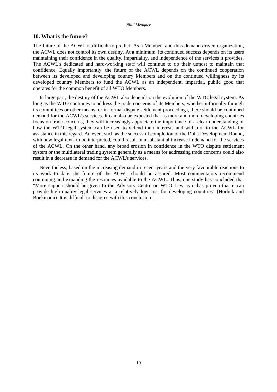#### *Niall Meagher*

## **10. What is the future?**

The future of the ACWL is difficult to predict. As a Member- and thus demand-driven organization, the ACWL does not control its own destiny. At a minimum, its continued success depends on its users maintaining their confidence in the quality, impartiality, and independence of the services it provides. The ACWL's dedicated and hard-working staff will continue to do their utmost to maintain that confidence. Equally importantly, the future of the ACWL depends on the continued cooperation between its developed and developing country Members and on the continued willingness by its developed country Members to fund the ACWL as an independent, impartial, public good that operates for the common benefit of all WTO Members.

In large part, the destiny of the ACWL also depends on the evolution of the WTO legal system. As long as the WTO continues to address the trade concerns of its Members, whether informally through its committees or other means, or in formal dispute settlement proceedings, there should be continued demand for the ACWL's services. It can also be expected that as more and more developing countries focus on trade concerns, they will increasingly appreciate the importance of a clear understanding of how the WTO legal system can be used to defend their interests and will turn to the ACWL for assistance in this regard. An event such as the successful completion of the Doha Development Round, with new legal texts to be interpreted, could result in a substantial increase in demand for the services of the ACWL. On the other hand, any broad erosion in confidence in the WTO dispute settlement system or the multilateral trading system generally as a means for addressing trade concerns could also result in a decrease in demand for the ACWL's services.

Nevertheless, based on the increasing demand in recent years and the very favourable reactions to its work to date, the future of the ACWL should be assured. Most commentators recommend continuing and expanding the resources available to the ACWL. Thus, one study has concluded that "More support should be given to the Advisory Centre on WTO Law as it has proven that it can provide high quality legal services at a relatively low cost for developing countries" (Horlick and Boekmann). It is difficult to disagree with this conclusion . . .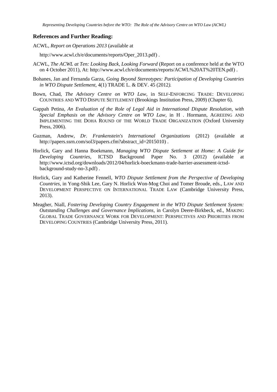## **References and Further Reading:**

- ACWL, *Report on Operations 2013* (available at
	- [http://www.acwl.ch/e/documents/reports/Oper\\_2013.pdf\)](http://www.acwl.ch/e/documents/reports/oper_2013.pdf) .
- ACWL, *The ACWL at Ten: Looking Back, Looking Forward* (Report on a conference held at the WTO on 4 October 2011), At: [http://www.acwl.ch/e/documents/reports/ACWL%20AT%20TEN.pdf\)](http://www.acwl.ch/e/documents/reports/ACWL%20AT%20TEN.pdf) .
- Bohanes, Jan and Fernanda Garza, *Going Beyond Stereotypes: Participation of Developing Countries in WTO Dispute Settlement,* 4(1) TRADE L. & DEV. 45 (2012*).*
- Bown, Chad, *The Advisory Centre on WTO Law*, in SELF-ENFORCING TRADE: DEVELOPING COUNTRIES AND WTO DISPUTE SETTLEMENT (Brookings Institution Press, 2009) (Chapter 6).
- Gappah Petina*, An Evaluation of the Role of Legal Aid in International Dispute Resolution, with Special Emphasis on the Advisory Centre on WTO Law*, in H . Hormann, AGREEING AND IMPLEMENTING THE DOHA ROUND OF THE WORLD TRADE ORGANIZATION (Oxford University Press, 2006).
- Guzman, Andrew, *Dr. Frankenstein's International Organizations* (2012) (available at [http://papers.ssrn.com/sol3/papers.cfm?abstract\\_id=2015010\)](http://papers.ssrn.com/sol3/papers.cfm?abstract_id=2015010).
- Horlick, Gary and Hanna Boekmann, *Managing WTO Dispute Settlement at Home: A Guide for Developing Countries,* ICTSD Background Paper No. 3 (2012) (available [http://www.ictsd.org/downloads/2012/04/horlick-boeckmann-trade-barrier-assessment-ictsd](http://www.ictsd.org/downloads/2012/04/horlick-boeckmann-trade-barrier-assessment-ictsd-background-study-no-3.pdf)[background-study-no-3.pdf\)](http://www.ictsd.org/downloads/2012/04/horlick-boeckmann-trade-barrier-assessment-ictsd-background-study-no-3.pdf) .
- Horlick, Gary and Katherine Fennell, *WTO Dispute Settlement from the Perspective of Developing Countries*, in Yong-Shik Lee, Gary N. Horlick Won-Mog Choi and Tomer Broude, eds., LAW AND DEVELOPMENT PERSPECTIVE ON INTERNATIONAL TRADE LAW (Cambridge University Press, 2013).
- Meagher, Niall, *Fostering Developing Country Engagement in the WTO Dispute Settlement System: Outstanding Challenges and Governance Implications*, in Carolyn Deere-Birkbeck, ed., MAKING GLOBAL TRADE GOVERNANCE WORK FOR DEVELOPMENT: PERSPECTIVES AND PRIORITIES FROM DEVELOPING COUNTRIES (Cambridge University Press, 2011).